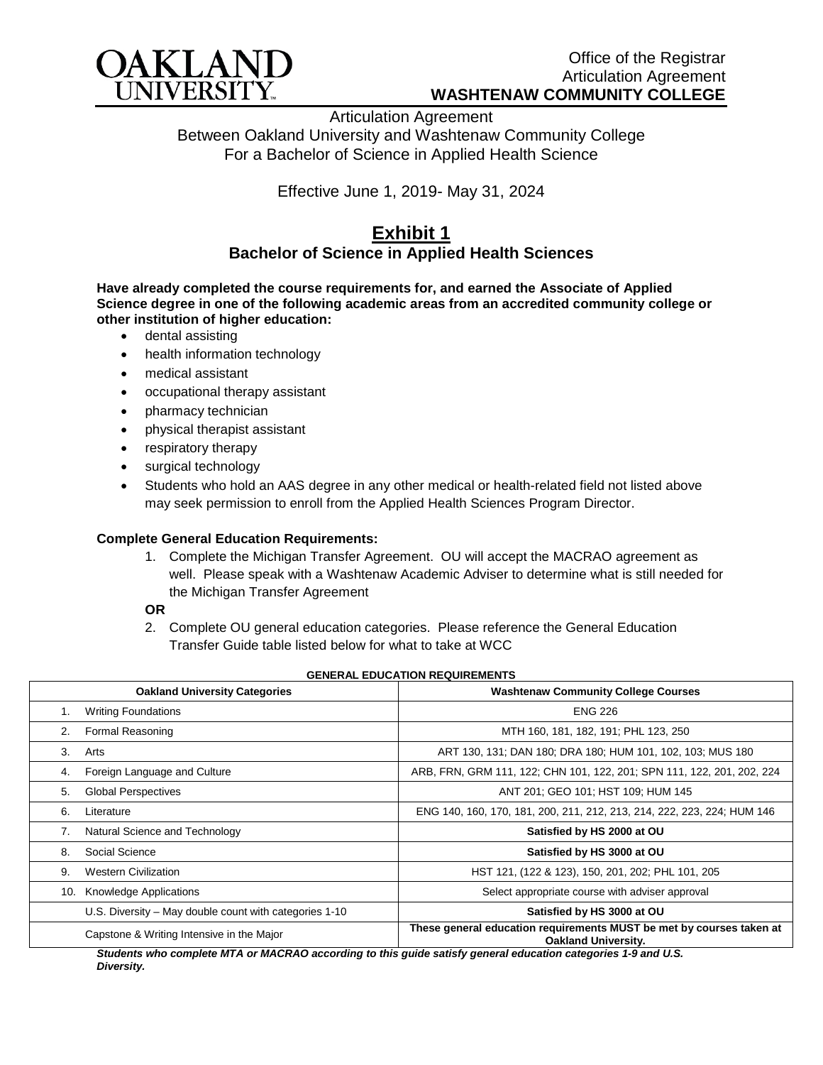

Articulation Agreement Between Oakland University and Washtenaw Community College For a Bachelor of Science in Applied Health Science

Effective June 1, 2019- May 31, 2024

## **Exhibit 1 Bachelor of Science in Applied Health Sciences**

**Have already completed the course requirements for, and earned the Associate of Applied Science degree in one of the following academic areas from an accredited community college or other institution of higher education:**

- dental assisting
- health information technology
- medical assistant
- occupational therapy assistant
- pharmacy technician
- physical therapist assistant
- respiratory therapy
- surgical technology
- Students who hold an AAS degree in any other medical or health-related field not listed above may seek permission to enroll from the Applied Health Sciences Program Director.

## **Complete General Education Requirements:**

1. Complete the Michigan Transfer Agreement. OU will accept the MACRAO agreement as well. Please speak with a Washtenaw Academic Adviser to determine what is still needed for the Michigan Transfer Agreement

## **OR**

2. Complete OU general education categories. Please reference the General Education Transfer Guide table listed below for what to take at WCC

|     | <b>Oakland University Categories</b>                   | <b>Washtenaw Community College Courses</b>                                                       |
|-----|--------------------------------------------------------|--------------------------------------------------------------------------------------------------|
|     | <b>Writing Foundations</b>                             | <b>ENG 226</b>                                                                                   |
| 2.  | Formal Reasoning                                       | MTH 160, 181, 182, 191; PHL 123, 250                                                             |
| 3.  | Arts                                                   | ART 130, 131; DAN 180; DRA 180; HUM 101, 102, 103; MUS 180                                       |
| 4.  | Foreign Language and Culture                           | ARB, FRN, GRM 111, 122; CHN 101, 122, 201; SPN 111, 122, 201, 202, 224                           |
| 5.  | <b>Global Perspectives</b>                             | ANT 201; GEO 101; HST 109; HUM 145                                                               |
| 6.  | Literature                                             | ENG 140, 160, 170, 181, 200, 211, 212, 213, 214, 222, 223, 224; HUM 146                          |
| 7.  | Natural Science and Technology                         | Satisfied by HS 2000 at OU                                                                       |
| 8.  | Social Science                                         | Satisfied by HS 3000 at OU                                                                       |
| 9.  | <b>Western Civilization</b>                            | HST 121, (122 & 123), 150, 201, 202; PHL 101, 205                                                |
| 10. | <b>Knowledge Applications</b>                          | Select appropriate course with adviser approval                                                  |
|     | U.S. Diversity – May double count with categories 1-10 | Satisfied by HS 3000 at OU                                                                       |
|     | Capstone & Writing Intensive in the Major<br>.         | These general education requirements MUST be met by courses taken at<br>Oakland University.<br>. |

*Students who complete MTA or MACRAO according to this guide satisfy general education categories 1-9 and U.S. Diversity.*

## **GENERAL EDUCATION REQUIREMENTS**